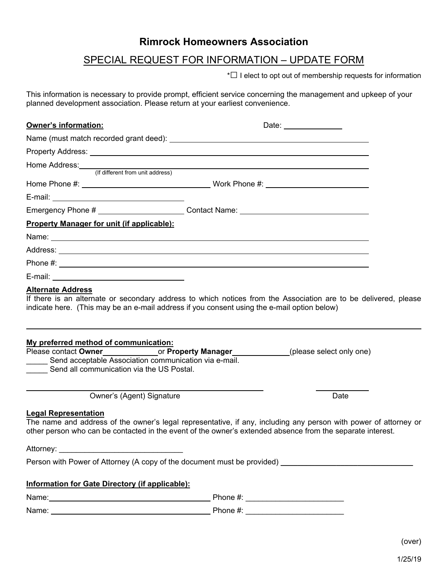## **Rimrock Homeowners Association**

## SPECIAL REQUEST FOR INFORMATION – UPDATE FORM

\*□ I elect to opt out of membership requests for information

This information is necessary to provide prompt, efficient service concerning the management and upkeep of your planned development association. Please return at your earliest convenience.

| Owner's information:                                                                                                                        | Date: _______________                                                                                                                                                                                                          |
|---------------------------------------------------------------------------------------------------------------------------------------------|--------------------------------------------------------------------------------------------------------------------------------------------------------------------------------------------------------------------------------|
|                                                                                                                                             |                                                                                                                                                                                                                                |
|                                                                                                                                             |                                                                                                                                                                                                                                |
|                                                                                                                                             | Home Address: (If different from unit address)                                                                                                                                                                                 |
|                                                                                                                                             |                                                                                                                                                                                                                                |
|                                                                                                                                             |                                                                                                                                                                                                                                |
|                                                                                                                                             | Emergency Phone # ________________________Contact Name: ________________________                                                                                                                                               |
| <b>Property Manager for unit (if applicable):</b>                                                                                           |                                                                                                                                                                                                                                |
|                                                                                                                                             |                                                                                                                                                                                                                                |
|                                                                                                                                             |                                                                                                                                                                                                                                |
|                                                                                                                                             |                                                                                                                                                                                                                                |
|                                                                                                                                             |                                                                                                                                                                                                                                |
| My preferred method of communication:<br>Send acceptable Association communication via e-mail.<br>Send all communication via the US Postal. | Please contact Owner______________________or Property Manager______________(please select only one)                                                                                                                            |
| Owner's (Agent) Signature                                                                                                                   | Date                                                                                                                                                                                                                           |
| <b>Legal Representation</b>                                                                                                                 | The name and address of the owner's legal representative, if any, including any person with power of attorney or<br>other person who can be contacted in the event of the owner's extended absence from the separate interest. |
|                                                                                                                                             | Person with Power of Attorney (A copy of the document must be provided) ____________________________                                                                                                                           |
|                                                                                                                                             |                                                                                                                                                                                                                                |
| Information for Gate Directory (if applicable):                                                                                             |                                                                                                                                                                                                                                |
|                                                                                                                                             |                                                                                                                                                                                                                                |
|                                                                                                                                             |                                                                                                                                                                                                                                |
|                                                                                                                                             |                                                                                                                                                                                                                                |

(over)

1/25/19